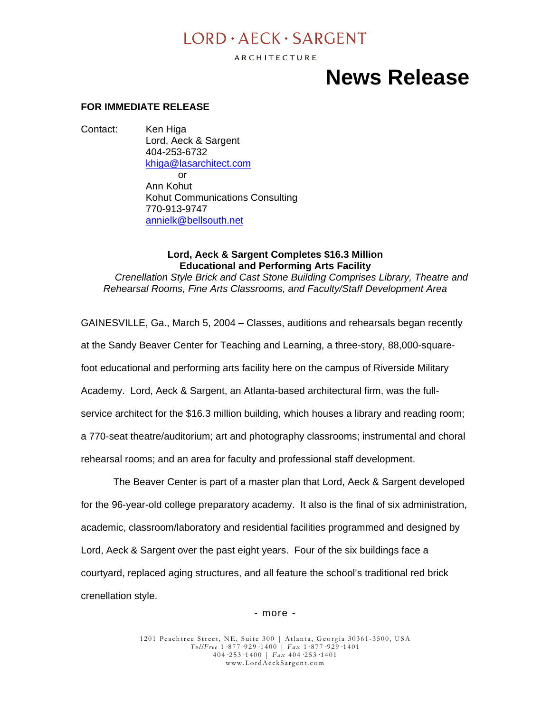# $I$  ORD  $\cdot$  AECK  $\cdot$  SARGENT

ARCHITECTURE

# **News Release**

#### **FOR IMMEDIATE RELEASE**

Contact: Ken Higa Lord, Aeck & Sargent 404-253-6732 [khiga@lasarchitect.com](mailto:khiga@lasarchitect.com) or Ann Kohut Kohut Communications Consulting 770-913-9747 [annielk@bellsouth.net](mailto:annielk@bellsouth.net)

#### **Lord, Aeck & Sargent Completes \$16.3 Million Educational and Performing Arts Facility**

*Crenellation Style Brick and Cast Stone Building Comprises Library, Theatre and Rehearsal Rooms, Fine Arts Classrooms, and Faculty/Staff Development Area* 

GAINESVILLE, Ga., March 5, 2004 – Classes, auditions and rehearsals began recently at the Sandy Beaver Center for Teaching and Learning, a three-story, 88,000-squarefoot educational and performing arts facility here on the campus of Riverside Military Academy. Lord, Aeck & Sargent, an Atlanta-based architectural firm, was the fullservice architect for the \$16.3 million building, which houses a library and reading room; a 770-seat theatre/auditorium; art and photography classrooms; instrumental and choral rehearsal rooms; and an area for faculty and professional staff development.

 The Beaver Center is part of a master plan that Lord, Aeck & Sargent developed for the 96-year-old college preparatory academy. It also is the final of six administration, academic, classroom/laboratory and residential facilities programmed and designed by Lord, Aeck & Sargent over the past eight years. Four of the six buildings face a courtyard, replaced aging structures, and all feature the school's traditional red brick crenellation style.

- more -

1201 Peachtree Street, NE, Suite 300 | Atlanta, Georgia 30361-3500, USA *TollFree* 1·877·929·1400 | *Fax* 1·877·929·1401 404·253·1400 | *Fax* 404·253·1401 www.LordAeckSargent.com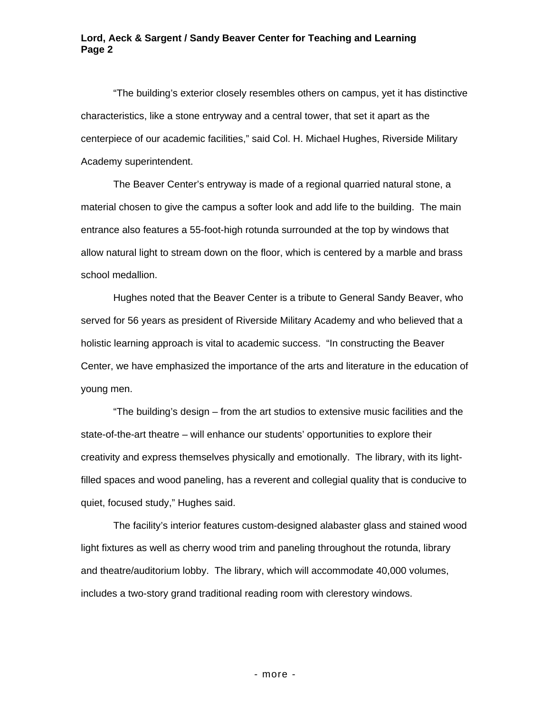#### **Lord, Aeck & Sargent / Sandy Beaver Center for Teaching and Learning Page 2**

 "The building's exterior closely resembles others on campus, yet it has distinctive characteristics, like a stone entryway and a central tower, that set it apart as the centerpiece of our academic facilities," said Col. H. Michael Hughes, Riverside Military Academy superintendent.

 The Beaver Center's entryway is made of a regional quarried natural stone, a material chosen to give the campus a softer look and add life to the building. The main entrance also features a 55-foot-high rotunda surrounded at the top by windows that allow natural light to stream down on the floor, which is centered by a marble and brass school medallion.

 Hughes noted that the Beaver Center is a tribute to General Sandy Beaver, who served for 56 years as president of Riverside Military Academy and who believed that a holistic learning approach is vital to academic success. "In constructing the Beaver Center, we have emphasized the importance of the arts and literature in the education of young men.

 "The building's design – from the art studios to extensive music facilities and the state-of-the-art theatre – will enhance our students' opportunities to explore their creativity and express themselves physically and emotionally. The library, with its lightfilled spaces and wood paneling, has a reverent and collegial quality that is conducive to quiet, focused study," Hughes said.

 The facility's interior features custom-designed alabaster glass and stained wood light fixtures as well as cherry wood trim and paneling throughout the rotunda, library and theatre/auditorium lobby. The library, which will accommodate 40,000 volumes, includes a two-story grand traditional reading room with clerestory windows.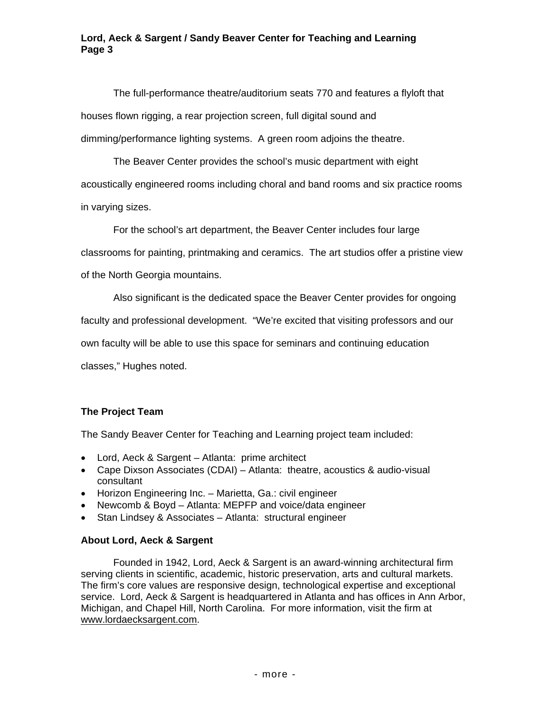## **Lord, Aeck & Sargent / Sandy Beaver Center for Teaching and Learning Page 3**

The full-performance theatre/auditorium seats 770 and features a flyloft that houses flown rigging, a rear projection screen, full digital sound and dimming/performance lighting systems. A green room adjoins the theatre.

The Beaver Center provides the school's music department with eight acoustically engineered rooms including choral and band rooms and six practice rooms in varying sizes.

For the school's art department, the Beaver Center includes four large

classrooms for painting, printmaking and ceramics. The art studios offer a pristine view

of the North Georgia mountains.

Also significant is the dedicated space the Beaver Center provides for ongoing

faculty and professional development. "We're excited that visiting professors and our

own faculty will be able to use this space for seminars and continuing education

classes," Hughes noted.

## **The Project Team**

The Sandy Beaver Center for Teaching and Learning project team included:

- Lord, Aeck & Sargent Atlanta: prime architect
- Cape Dixson Associates (CDAI) Atlanta: theatre, acoustics & audio-visual consultant
- Horizon Engineering Inc. Marietta, Ga.: civil engineer
- Newcomb & Boyd Atlanta: MEPFP and voice/data engineer
- Stan Lindsey & Associates Atlanta: structural engineer

#### **About Lord, Aeck & Sargent**

Founded in 1942, Lord, Aeck & Sargent is an award-winning architectural firm serving clients in scientific, academic, historic preservation, arts and cultural markets. The firm's core values are responsive design, technological expertise and exceptional service. Lord, Aeck & Sargent is headquartered in Atlanta and has offices in Ann Arbor, Michigan, and Chapel Hill, North Carolina. For more information, visit the firm at [www.lordaecksargent.com.](http://www.lordaecksargent.com/)